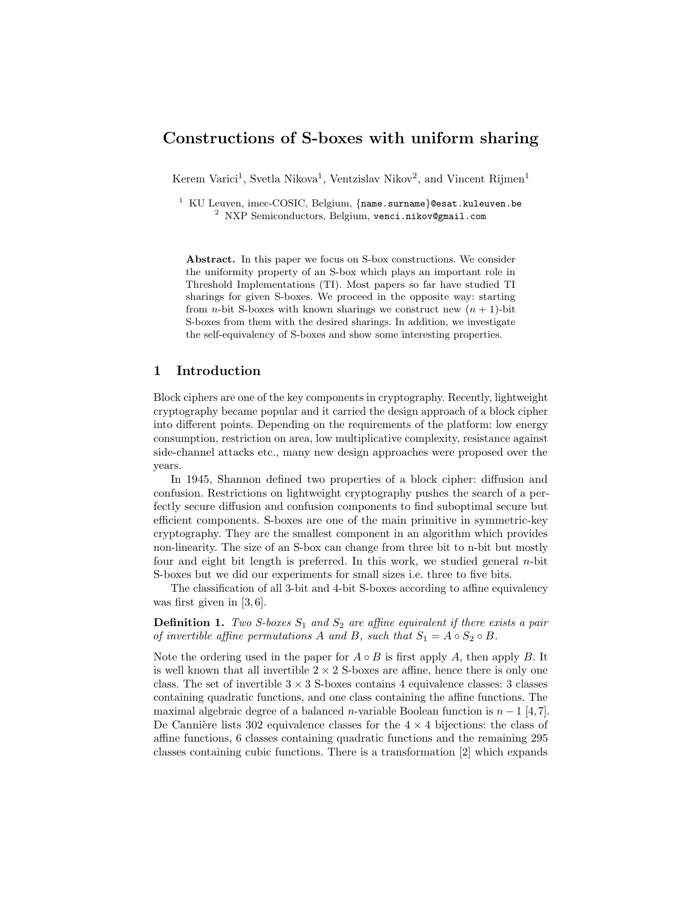# Constructions of S-boxes with uniform sharing

Kerem Varici<sup>1</sup>, Svetla Nikova<sup>1</sup>, Ventzislav Nikov<sup>2</sup>, and Vincent Rijmen<sup>1</sup>

 $1$  KU Leuven, imec-COSIC, Belgium,  ${name.sum}$ esat.kuleuven.be <sup>2</sup> NXP Semiconductors, Belgium, venci.nikov@gmail.com

Abstract. In this paper we focus on S-box constructions. We consider the uniformity property of an S-box which plays an important role in Threshold Implementations (TI). Most papers so far have studied TI sharings for given S-boxes. We proceed in the opposite way: starting from *n*-bit S-boxes with known sharings we construct new  $(n + 1)$ -bit S-boxes from them with the desired sharings. In addition, we investigate the self-equivalency of S-boxes and show some interesting properties.

## 1 Introduction

Block ciphers are one of the key components in cryptography. Recently, lightweight cryptography became popular and it carried the design approach of a block cipher into different points. Depending on the requirements of the platform: low energy consumption, restriction on area, low multiplicative complexity, resistance against side-channel attacks etc., many new design approaches were proposed over the years.

In 1945, Shannon defined two properties of a block cipher: diffusion and confusion. Restrictions on lightweight cryptography pushes the search of a perfectly secure diffusion and confusion components to find suboptimal secure but efficient components. S-boxes are one of the main primitive in symmetric-key cryptography. They are the smallest component in an algorithm which provides non-linearity. The size of an S-box can change from three bit to n-bit but mostly four and eight bit length is preferred. In this work, we studied general n-bit S-boxes but we did our experiments for small sizes i.e. three to five bits.

The classification of all 3-bit and 4-bit S-boxes according to affine equivalency was first given in [3, 6].

**Definition 1.** Two S-boxes  $S_1$  and  $S_2$  are affine equivalent if there exists a pair of invertible affine permutations A and B, such that  $S_1 = A \circ S_2 \circ B$ .

Note the ordering used in the paper for  $A \circ B$  is first apply A, then apply B. It is well known that all invertible  $2 \times 2$  S-boxes are affine, hence there is only one class. The set of invertible  $3 \times 3$  S-boxes contains 4 equivalence classes: 3 classes containing quadratic functions, and one class containing the affine functions. The maximal algebraic degree of a balanced n-variable Boolean function is  $n-1$  [4,7]. De Cannière lists 302 equivalence classes for the  $4 \times 4$  bijections: the class of affine functions, 6 classes containing quadratic functions and the remaining 295 classes containing cubic functions. There is a transformation [2] which expands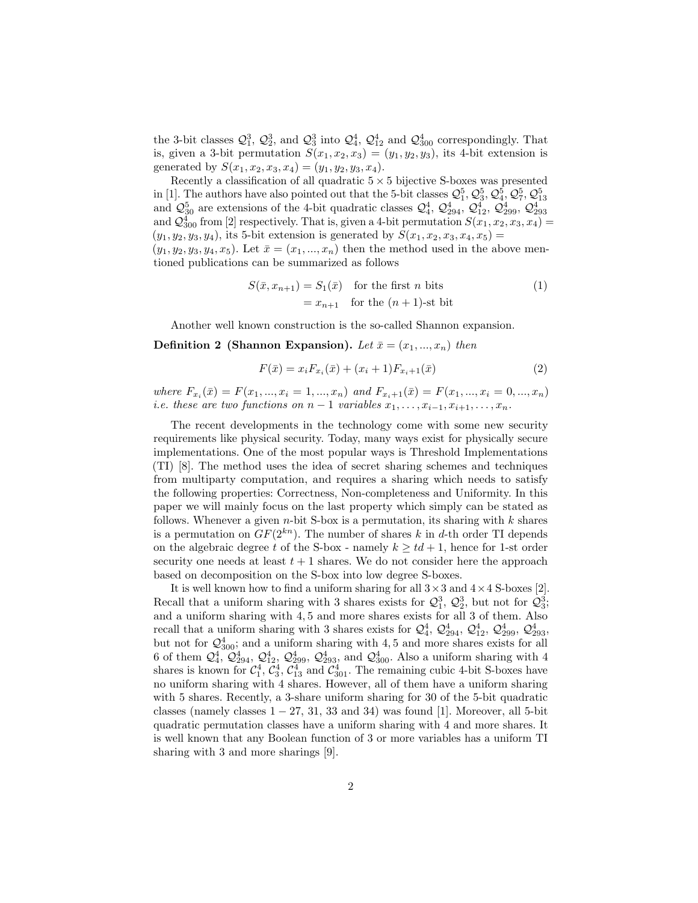the 3-bit classes  $\mathcal{Q}_1^3$ ,  $\mathcal{Q}_2^3$ , and  $\mathcal{Q}_3^3$  into  $\mathcal{Q}_4^4$ ,  $\mathcal{Q}_{12}^4$  and  $\mathcal{Q}_{300}^4$  correspondingly. That is, given a 3-bit permutation  $S(x_1, x_2, x_3) = (y_1, y_2, y_3)$ , its 4-bit extension is generated by  $S(x_1, x_2, x_3, x_4) = (y_1, y_2, y_3, x_4).$ 

Recently a classification of all quadratic  $5 \times 5$  bijective S-boxes was presented in [1]. The authors have also pointed out that the 5-bit classes  $\mathcal{Q}_1^5$ ,  $\mathcal{Q}_3^5$ ,  $\mathcal{Q}_4^5$ ,  $\mathcal{Q}_7^5$ ,  $\mathcal{Q}_{13}^5$ and  $\mathcal{Q}_{30}^5$  are extensions of the 4-bit quadratic classes  $\mathcal{Q}_4^4$ ,  $\mathcal{Q}_{294}^4$ ,  $\mathcal{Q}_{12}^4$ ,  $\mathcal{Q}_{299}^4$ ,  $\mathcal{Q}_{293}^4$ <br>and  $\mathcal{Q}_{300}^4$  from [2] respectively. That is, given a 4-bit permutation  $S(x_1$  $(y_1, y_2, y_3, y_4)$ , its 5-bit extension is generated by  $S(x_1, x_2, x_3, x_4, x_5)$  =  $(y_1, y_2, y_3, y_4, x_5)$ . Let  $\bar{x} = (x_1, ..., x_n)$  then the method used in the above men-

tioned publications can be summarized as follows

$$
S(\bar{x}, x_{n+1}) = S_1(\bar{x}) \quad \text{for the first } n \text{ bits} \tag{1}
$$

$$
= x_{n+1} \quad \text{for the } (n+1)\text{-st bit}
$$

Another well known construction is the so-called Shannon expansion.

Definition 2 (Shannon Expansion). Let  $\bar{x} = (x_1, ..., x_n)$  then

$$
F(\bar{x}) = x_i F_{x_i}(\bar{x}) + (x_i + 1) F_{x_i + 1}(\bar{x})
$$
\n(2)

where  $F_{x_i}(\bar{x}) = F(x_1, ..., x_i = 1, ..., x_n)$  and  $F_{x_i+1}(\bar{x}) = F(x_1, ..., x_i = 0, ..., x_n)$ i.e. these are two functions on  $n-1$  variables  $x_1, \ldots, x_{i-1}, x_{i+1}, \ldots, x_n$ .

The recent developments in the technology come with some new security requirements like physical security. Today, many ways exist for physically secure implementations. One of the most popular ways is Threshold Implementations (TI) [8]. The method uses the idea of secret sharing schemes and techniques from multiparty computation, and requires a sharing which needs to satisfy the following properties: Correctness, Non-completeness and Uniformity. In this paper we will mainly focus on the last property which simply can be stated as follows. Whenever a given  $n$ -bit S-box is a permutation, its sharing with  $k$  shares is a permutation on  $GF(2^{kn})$ . The number of shares k in d-th order TI depends on the algebraic degree t of the S-box - namely  $k \geq td+1$ , hence for 1-st order security one needs at least  $t + 1$  shares. We do not consider here the approach based on decomposition on the S-box into low degree S-boxes.

It is well known how to find a uniform sharing for all  $3 \times 3$  and  $4 \times 4$  S-boxes [2]. Recall that a uniform sharing with 3 shares exists for  $\mathcal{Q}_1^3$ ,  $\mathcal{Q}_2^3$ , but not for  $\mathcal{Q}_3^3$ ; and a uniform sharing with 4, 5 and more shares exists for all 3 of them. Also recall that a uniform sharing with 3 shares exists for  $\mathcal{Q}_4^4$ ,  $\mathcal{Q}_{294}^4$ ,  $\mathcal{Q}_{12}^4$ ,  $\mathcal{Q}_{299}^4$ ,  $\mathcal{Q}_{293}^4$ , but not for  $\mathcal{Q}_{300}^4$ ; and a uniform sharing with 4,5 and more shares exists for all 6 of them  $\mathcal{Q}_4^4$ ,  $\mathcal{Q}_{294}^4$ ,  $\mathcal{Q}_{12}^4$ ,  $\mathcal{Q}_{299}^4$ ,  $\mathcal{Q}_{293}^4$ , and  $\mathcal{Q}_{300}^4$ . Also a uniform sharing with 4 shares is known for  $C_1^4$ ,  $C_3^4$ ,  $C_{13}^4$  and  $C_{301}^4$ . The remaining cubic 4-bit S-boxes have no uniform sharing with 4 shares. However, all of them have a uniform sharing with 5 shares. Recently, a 3-share uniform sharing for 30 of the 5-bit quadratic classes (namely classes  $1 - 27$ , 31, 33 and 34) was found [1]. Moreover, all 5-bit quadratic permutation classes have a uniform sharing with 4 and more shares. It is well known that any Boolean function of 3 or more variables has a uniform TI sharing with 3 and more sharings [9].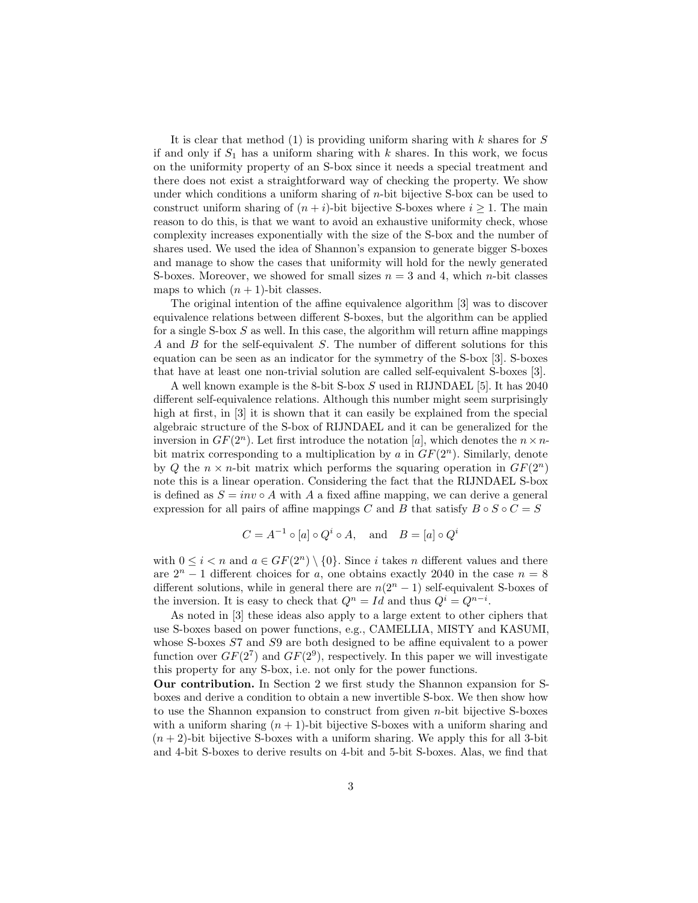It is clear that method  $(1)$  is providing uniform sharing with k shares for S if and only if  $S_1$  has a uniform sharing with k shares. In this work, we focus on the uniformity property of an S-box since it needs a special treatment and there does not exist a straightforward way of checking the property. We show under which conditions a uniform sharing of  $n$ -bit bijective S-box can be used to construct uniform sharing of  $(n + i)$ -bit bijective S-boxes where  $i \geq 1$ . The main reason to do this, is that we want to avoid an exhaustive uniformity check, whose complexity increases exponentially with the size of the S-box and the number of shares used. We used the idea of Shannon's expansion to generate bigger S-boxes and manage to show the cases that uniformity will hold for the newly generated S-boxes. Moreover, we showed for small sizes  $n = 3$  and 4, which *n*-bit classes maps to which  $(n + 1)$ -bit classes.

The original intention of the affine equivalence algorithm [3] was to discover equivalence relations between different S-boxes, but the algorithm can be applied for a single S-box  $S$  as well. In this case, the algorithm will return affine mappings A and B for the self-equivalent S. The number of different solutions for this equation can be seen as an indicator for the symmetry of the S-box [3]. S-boxes that have at least one non-trivial solution are called self-equivalent S-boxes [3].

A well known example is the 8-bit S-box S used in RIJNDAEL [5]. It has 2040 different self-equivalence relations. Although this number might seem surprisingly high at first, in [3] it is shown that it can easily be explained from the special algebraic structure of the S-box of RIJNDAEL and it can be generalized for the inversion in  $GF(2^n)$ . Let first introduce the notation [a], which denotes the  $n \times n$ bit matrix corresponding to a multiplication by a in  $GF(2<sup>n</sup>)$ . Similarly, denote by Q the  $n \times n$ -bit matrix which performs the squaring operation in  $GF(2^n)$ note this is a linear operation. Considering the fact that the RIJNDAEL S-box is defined as  $S = inv \circ A$  with A a fixed affine mapping, we can derive a general expression for all pairs of affine mappings C and B that satisfy  $B \circ S \circ C = S$ 

$$
C = A^{-1} \circ [a] \circ Q^i \circ A, \text{ and } B = [a] \circ Q^i
$$

with  $0 \leq i < n$  and  $a \in GF(2^n) \setminus \{0\}$ . Since i takes n different values and there are  $2^{n} - 1$  different choices for a, one obtains exactly 2040 in the case  $n = 8$ different solutions, while in general there are  $n(2<sup>n</sup> - 1)$  self-equivalent S-boxes of the inversion. It is easy to check that  $Q^n = Id$  and thus  $Q^i = Q^{n-i}$ .

As noted in [3] these ideas also apply to a large extent to other ciphers that use S-boxes based on power functions, e.g., CAMELLIA, MISTY and KASUMI, whose S-boxes S7 and S9 are both designed to be affine equivalent to a power function over  $GF(2^7)$  and  $GF(2^9)$ , respectively. In this paper we will investigate this property for any S-box, i.e. not only for the power functions.

Our contribution. In Section 2 we first study the Shannon expansion for Sboxes and derive a condition to obtain a new invertible S-box. We then show how to use the Shannon expansion to construct from given n-bit bijective S-boxes with a uniform sharing  $(n + 1)$ -bit bijective S-boxes with a uniform sharing and  $(n+2)$ -bit bijective S-boxes with a uniform sharing. We apply this for all 3-bit and 4-bit S-boxes to derive results on 4-bit and 5-bit S-boxes. Alas, we find that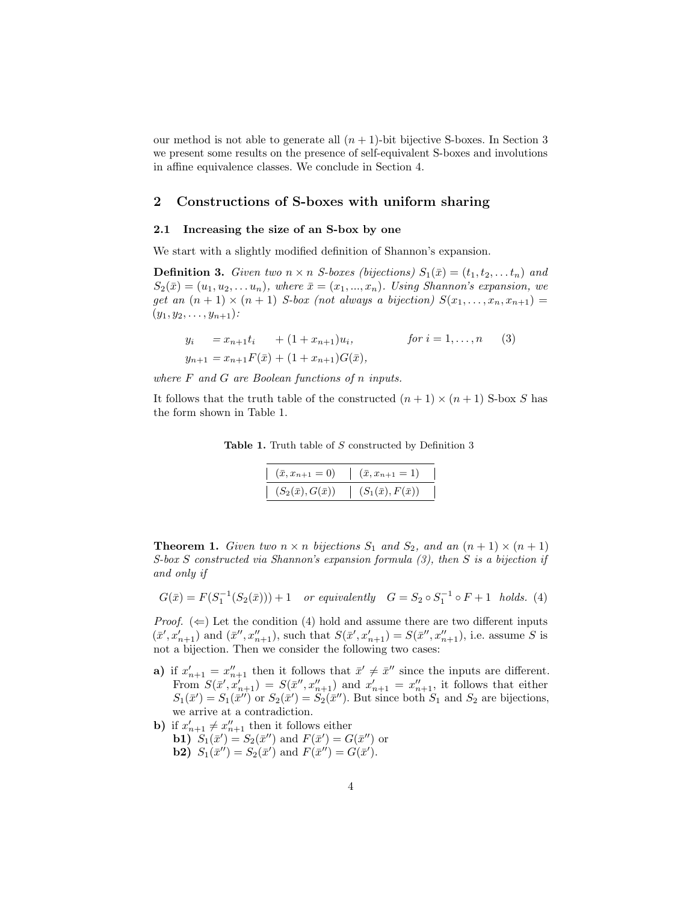our method is not able to generate all  $(n + 1)$ -bit bijective S-boxes. In Section 3 we present some results on the presence of self-equivalent S-boxes and involutions in affine equivalence classes. We conclude in Section 4.

## 2 Constructions of S-boxes with uniform sharing

#### 2.1 Increasing the size of an S-box by one

We start with a slightly modified definition of Shannon's expansion.

**Definition 3.** Given two  $n \times n$  S-boxes (bijections)  $S_1(\bar{x}) = (t_1, t_2, \ldots, t_n)$  and  $S_2(\bar{x}) = (u_1, u_2, \ldots u_n),$  where  $\bar{x} = (x_1, \ldots, x_n)$ . Using Shannon's expansion, we get an  $(n + 1) \times (n + 1)$  S-box (not always a bijection)  $S(x_1, \ldots, x_n, x_{n+1}) =$  $(y_1, y_2, \ldots, y_{n+1})$ :

$$
y_i = x_{n+1}t_i + (1 + x_{n+1})u_i, \qquad \text{for } i = 1, ..., n \quad (3)
$$
  

$$
y_{n+1} = x_{n+1}F(\bar{x}) + (1 + x_{n+1})G(\bar{x}),
$$

where  $F$  and  $G$  are Boolean functions of n inputs.

It follows that the truth table of the constructed  $(n+1) \times (n+1)$  S-box S has the form shown in Table 1.

Table 1. Truth table of S constructed by Definition 3

| $(x, x_{n+1} = 0)$        | $(\bar{x}, x_{n+1} = 1)$     |  |
|---------------------------|------------------------------|--|
| $(S_2(\bar x),G(\bar x))$ | $(S_1(\bar{x}), F(\bar{x}))$ |  |

**Theorem 1.** Given two  $n \times n$  bijections  $S_1$  and  $S_2$ , and an  $(n + 1) \times (n + 1)$ S-box S constructed via Shannon's expansion formula (3), then S is a bijection if and only if

$$
G(\bar{x}) = F(S_1^{-1}(S_2(\bar{x}))) + 1 \quad or \; equivalently \quad G = S_2 \circ S_1^{-1} \circ F + 1 \; holds. \eqno(4)
$$

*Proof.*  $(\Leftarrow)$  Let the condition (4) hold and assume there are two different inputs  $(\bar{x}', x_{n+1}')$  and  $(\bar{x}'', x_{n+1}'')$ , such that  $S(\bar{x}', x_{n+1}') = S(\bar{x}'', x_{n+1}'')$ , i.e. assume S is not a bijection. Then we consider the following two cases:

- a) if  $x'_{n+1} = x''_{n+1}$  then it follows that  $\bar{x}' \neq \bar{x}''$  since the inputs are different. From  $S(\bar{x}', x'_{n+1}) = S(\bar{x}'', x''_{n+1})$  and  $x'_{n+1} = x''_{n+1}$ , it follows that either  $S_1(\bar{x}') = S_1(\bar{x}'')$  or  $S_2(\bar{x}') = S_2(\bar{x}'')$ . But since both  $S_1$  and  $S_2$  are bijections, we arrive at a contradiction.
- **b**) if  $x'_{n+1} \neq x''_{n+1}$  then it follows either **b1**)  $S_1(\bar{x}') = S_2(\bar{x}'')$  and  $F(\bar{x}') = G(\bar{x}'')$  or **b2**)  $S_1(\bar{x}'') = S_2(\bar{x}')$  and  $F(\bar{x}'') = G(\bar{x}')$ .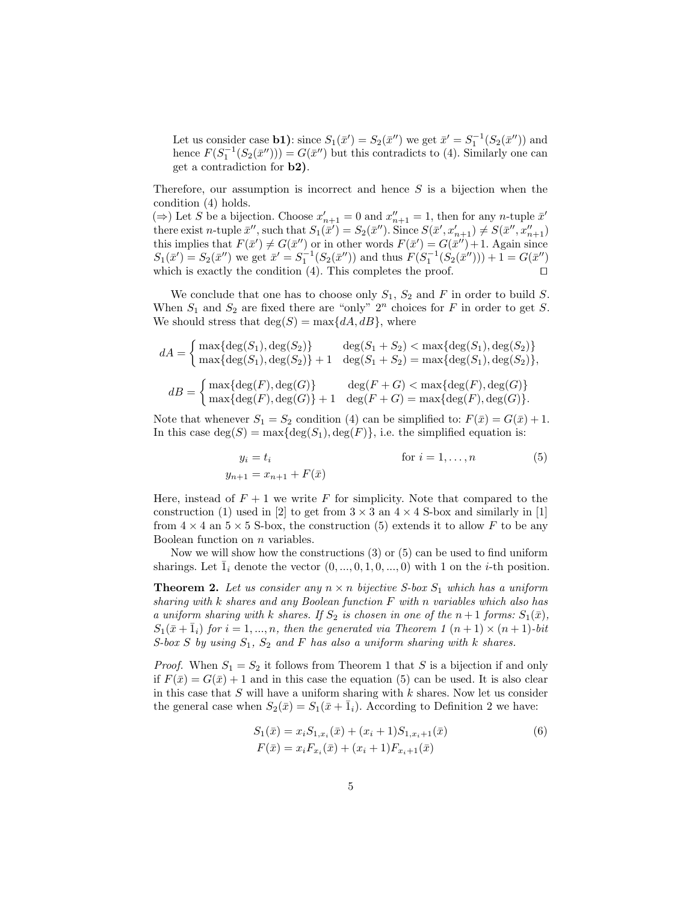Let us consider case **b1**): since  $S_1(\bar{x}') = S_2(\bar{x}'')$  we get  $\bar{x}' = S_1^{-1}(S_2(\bar{x}''))$  and hence  $F(S_1^{-1}(S_2(\bar{x}))) = G(\bar{x}^{\prime\prime})$  but this contradicts to (4). Similarly one can get a contradiction for b2).

Therefore, our assumption is incorrect and hence  $S$  is a bijection when the condition (4) holds.

(⇒) Let S be a bijection. Choose  $x'_{n+1} = 0$  and  $x''_{n+1} = 1$ , then for any n-tuple  $\bar{x}'$ there exist *n*-tuple  $\bar{x}''$ , such that  $S_1(\bar{x}') = S_2(\bar{x}'')$ . Since  $S(\bar{x}', x'_{n+1}) \neq S(\bar{x}'', x''_{n+1})$ this implies that  $F(\bar{x}') \neq G(\bar{x}'')$  or in other words  $F(\bar{x}') = G(\bar{x}'') + 1$ . Again since  $S_1(\bar{x}') = S_2(\bar{x}'')$  we get  $\bar{x}' = S_1^{-1}(S_2(\bar{x}''))$  and thus  $F(S_1^{-1}(S_2(\bar{x}'')) + 1 = G(\bar{x}'')$ which is exactly the condition (4). This completes the proof.  $\square$ 

We conclude that one has to choose only  $S_1$ ,  $S_2$  and F in order to build S. When  $S_1$  and  $S_2$  are fixed there are "only"  $2^n$  choices for F in order to get S. We should stress that  $deg(S) = max\{dA, dB\}$ , where

$$
dA = \begin{cases} \max\{\deg(S_1), \deg(S_2)\} & \deg(S_1 + S_2) < \max\{\deg(S_1), \deg(S_2)\} \\ \max\{\deg(S_1), \deg(S_2)\} + 1 & \deg(S_1 + S_2) = \max\{\deg(S_1), \deg(S_2)\}, \end{cases}
$$

$$
dB = \begin{cases} \max\{\deg(F), \deg(G)\} & \deg(F+G) < \max\{\deg(F), \deg(G)\} \\ \max\{\deg(F), \deg(G)\} + 1 & \deg(F+G) = \max\{\deg(F), \deg(G)\}. \end{cases}
$$

Note that whenever  $S_1 = S_2$  condition (4) can be simplified to:  $F(\bar{x}) = G(\bar{x}) + 1$ . In this case  $deg(S) = max{deg(S_1), deg(F)}$ , i.e. the simplified equation is:

$$
y_i = t_i
$$
 for  $i = 1,...,n$  (5)  
 $y_{n+1} = x_{n+1} + F(\bar{x})$ 

Here, instead of  $F + 1$  we write F for simplicity. Note that compared to the construction (1) used in [2] to get from  $3 \times 3$  an  $4 \times 4$  S-box and similarly in [1] from  $4 \times 4$  an  $5 \times 5$  S-box, the construction (5) extends it to allow F to be any Boolean function on  $n$  variables.

Now we will show how the constructions  $(3)$  or  $(5)$  can be used to find uniform sharings. Let  $\bar{1}_i$  denote the vector  $(0, ..., 0, 1, 0, ..., 0)$  with 1 on the *i*-th position.

**Theorem 2.** Let us consider any  $n \times n$  bijective S-box  $S_1$  which has a uniform sharing with k shares and any Boolean function F with n variables which also has a uniform sharing with k shares. If  $S_2$  is chosen in one of the  $n+1$  forms:  $S_1(\bar{x})$ ,  $S_1(\bar{x}+\bar{1}_i)$  for  $i=1,...,n$ , then the generated via Theorem 1  $(n+1) \times (n+1)$ -bit S-box  $S$  by using  $S_1$ ,  $S_2$  and  $F$  has also a uniform sharing with  $k$  shares.

*Proof.* When  $S_1 = S_2$  it follows from Theorem 1 that S is a bijection if and only if  $F(\bar{x}) = G(\bar{x}) + 1$  and in this case the equation (5) can be used. It is also clear in this case that  $S$  will have a uniform sharing with  $k$  shares. Now let us consider the general case when  $S_2(\bar{x}) = S_1(\bar{x} + \bar{1}_i)$ . According to Definition 2 we have:

$$
S_1(\bar{x}) = x_i S_{1,x_i}(\bar{x}) + (x_i + 1) S_{1,x_i+1}(\bar{x})
$$
  
\n
$$
F(\bar{x}) = x_i F_{x_i}(\bar{x}) + (x_i + 1) F_{x_i+1}(\bar{x})
$$
\n(6)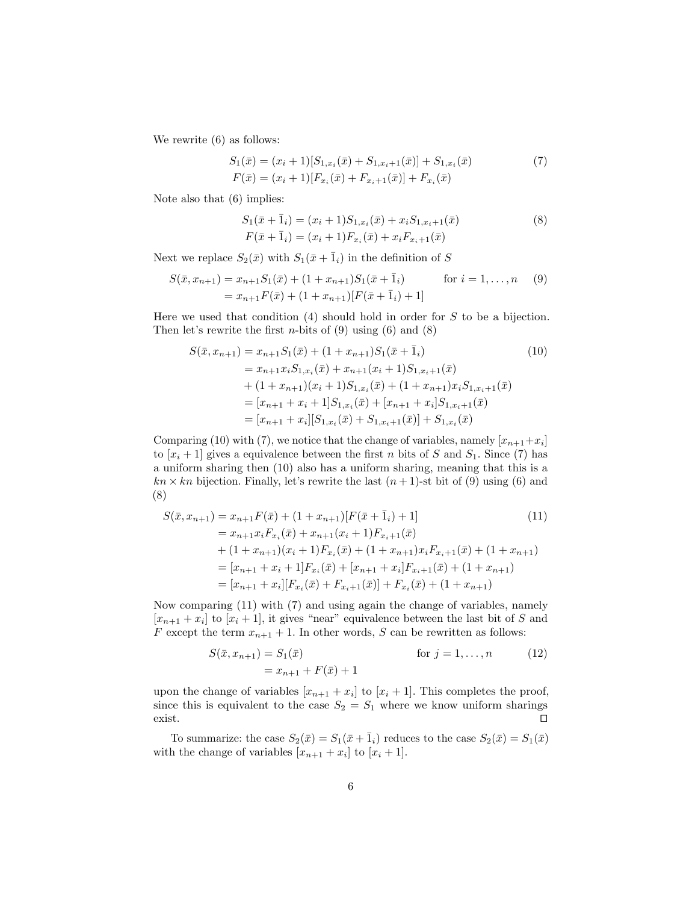We rewrite (6) as follows:

$$
S_1(\bar{x}) = (x_i + 1)[S_{1,x_i}(\bar{x}) + S_{1,x_i+1}(\bar{x})] + S_{1,x_i}(\bar{x})
$$
  
\n
$$
F(\bar{x}) = (x_i + 1)[F_{x_i}(\bar{x}) + F_{x_i+1}(\bar{x})] + F_{x_i}(\bar{x})
$$
\n(7)

Note also that (6) implies:

$$
S_1(\bar{x} + \bar{1}_i) = (x_i + 1)S_{1,x_i}(\bar{x}) + x_i S_{1,x_i+1}(\bar{x})
$$
  
\n
$$
F(\bar{x} + \bar{1}_i) = (x_i + 1)F_{x_i}(\bar{x}) + x_i F_{x_i+1}(\bar{x})
$$
\n(8)

Next we replace  $S_2(\bar{x})$  with  $S_1(\bar{x} + \bar{1}_i)$  in the definition of S

$$
S(\bar{x}, x_{n+1}) = x_{n+1}S_1(\bar{x}) + (1 + x_{n+1})S_1(\bar{x} + \bar{1}_i)
$$
 for  $i = 1, ..., n$  (9)  
=  $x_{n+1}F(\bar{x}) + (1 + x_{n+1})[F(\bar{x} + \bar{1}_i) + 1]$ 

Here we used that condition  $(4)$  should hold in order for S to be a bijection. Then let's rewrite the first *n*-bits of  $(9)$  using  $(6)$  and  $(8)$ 

$$
S(\bar{x}, x_{n+1}) = x_{n+1}S_1(\bar{x}) + (1 + x_{n+1})S_1(\bar{x} + \bar{1}_i)
$$
(10)  
\n
$$
= x_{n+1}x_iS_{1,x_i}(\bar{x}) + x_{n+1}(x_i + 1)S_{1,x_i+1}(\bar{x})
$$
  
\n
$$
+ (1 + x_{n+1})(x_i + 1)S_{1,x_i}(\bar{x}) + (1 + x_{n+1})x_iS_{1,x_i+1}(\bar{x})
$$
  
\n
$$
= [x_{n+1} + x_i + 1]S_{1,x_i}(\bar{x}) + [x_{n+1} + x_i]S_{1,x_i+1}(\bar{x})
$$
  
\n
$$
= [x_{n+1} + x_i][S_{1,x_i}(\bar{x}) + S_{1,x_i+1}(\bar{x})] + S_{1,x_i}(\bar{x})
$$

Comparing (10) with (7), we notice that the change of variables, namely  $[x_{n+1}+x_i]$ to  $[x_i + 1]$  gives a equivalence between the first n bits of S and  $S_1$ . Since (7) has a uniform sharing then (10) also has a uniform sharing, meaning that this is a  $kn \times kn$  bijection. Finally, let's rewrite the last  $(n+1)$ -st bit of (9) using (6) and (8)

$$
S(\bar{x}, x_{n+1}) = x_{n+1}F(\bar{x}) + (1 + x_{n+1})[F(\bar{x} + \bar{1}_i) + 1]
$$
(11)  
=  $x_{n+1}x_iF_{x_i}(\bar{x}) + x_{n+1}(x_i + 1)F_{x_i+1}(\bar{x})$   
+  $(1 + x_{n+1})(x_i + 1)F_{x_i}(\bar{x}) + (1 + x_{n+1})x_iF_{x_i+1}(\bar{x}) + (1 + x_{n+1})$   
=  $[x_{n+1} + x_i + 1]F_{x_i}(\bar{x}) + [x_{n+1} + x_i]F_{x_i+1}(\bar{x}) + (1 + x_{n+1})$   
=  $[x_{n+1} + x_i][F_{x_i}(\bar{x}) + F_{x_i+1}(\bar{x})] + F_{x_i}(\bar{x}) + (1 + x_{n+1})$ 

Now comparing (11) with (7) and using again the change of variables, namely  $[x_{n+1} + x_i]$  to  $[x_i + 1]$ , it gives "near" equivalence between the last bit of S and F except the term  $x_{n+1} + 1$ . In other words, S can be rewritten as follows:

$$
S(\bar{x}, x_{n+1}) = S_1(\bar{x}) \qquad \text{for } j = 1, ..., n \qquad (12)
$$
  
=  $x_{n+1} + F(\bar{x}) + 1$ 

upon the change of variables  $[x_{n+1} + x_i]$  to  $[x_i + 1]$ . This completes the proof, since this is equivalent to the case  $S_2 = S_1$  where we know uniform sharings exist.  $\square$ 

To summarize: the case  $S_2(\bar{x}) = S_1(\bar{x} + \bar{1}_i)$  reduces to the case  $S_2(\bar{x}) = S_1(\bar{x})$ with the change of variables  $[x_{n+1} + x_i]$  to  $[x_i + 1]$ .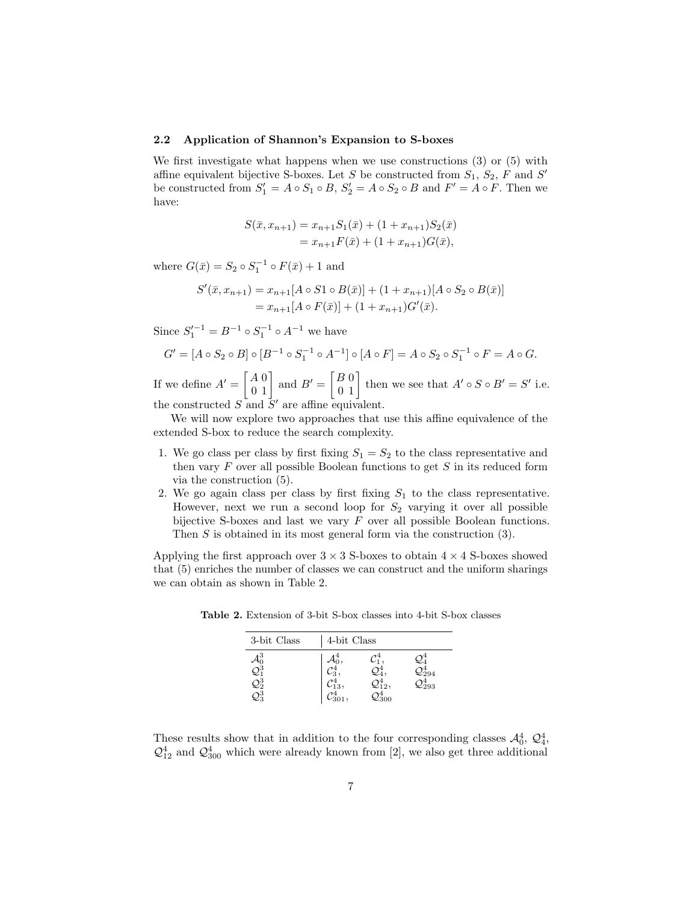#### 2.2 Application of Shannon's Expansion to S-boxes

We first investigate what happens when we use constructions (3) or (5) with affine equivalent bijective S-boxes. Let S be constructed from  $S_1$ ,  $S_2$ , F and S' be constructed from  $S_1' = A \circ S_1 \circ B$ ,  $S_2' = A \circ S_2 \circ B$  and  $F' = A \circ F$ . Then we have:

$$
S(\bar{x}, x_{n+1}) = x_{n+1}S_1(\bar{x}) + (1 + x_{n+1})S_2(\bar{x})
$$
  
=  $x_{n+1}F(\bar{x}) + (1 + x_{n+1})G(\bar{x}),$ 

where  $G(\bar{x}) = S_2 \circ S_1^{-1} \circ F(\bar{x}) + 1$  and

$$
S'(\bar{x}, x_{n+1}) = x_{n+1}[A \circ S1 \circ B(\bar{x})] + (1 + x_{n+1})[A \circ S_2 \circ B(\bar{x})]
$$
  
=  $x_{n+1}[A \circ F(\bar{x})] + (1 + x_{n+1})G'(\bar{x}).$ 

Since  $S_1'^{-1} = B^{-1} \circ S_1^{-1} \circ A^{-1}$  we have

$$
G' = [A \circ S_2 \circ B] \circ [B^{-1} \circ S_1^{-1} \circ A^{-1}] \circ [A \circ F] = A \circ S_2 \circ S_1^{-1} \circ F = A \circ G.
$$

If we define  $A' = \begin{bmatrix} A & 0 \\ 0 & 1 \end{bmatrix}$  and  $B' = \begin{bmatrix} B & 0 \\ 0 & 1 \end{bmatrix}$  then we see that  $A' \circ S \circ B' = S'$  i.e. the constructed  $S$  and  $S'$  are affine equivalent.

We will now explore two approaches that use this affine equivalence of the extended S-box to reduce the search complexity.

- 1. We go class per class by first fixing  $S_1 = S_2$  to the class representative and then vary  $F$  over all possible Boolean functions to get  $S$  in its reduced form via the construction (5).
- 2. We go again class per class by first fixing  $S_1$  to the class representative. However, next we run a second loop for  $S_2$  varying it over all possible bijective S-boxes and last we vary  $F$  over all possible Boolean functions. Then S is obtained in its most general form via the construction (3).

Applying the first approach over  $3 \times 3$  S-boxes to obtain  $4 \times 4$  S-boxes showed that (5) enriches the number of classes we can construct and the uniform sharings we can obtain as shown in Table 2.

| 3-bit Class | 4-bit Class |  |      |  |  |
|-------------|-------------|--|------|--|--|
|             |             |  |      |  |  |
|             |             |  | 2294 |  |  |
| $2^{3}_{2}$ | $_{13},$    |  | 293  |  |  |
|             |             |  |      |  |  |

Table 2. Extension of 3-bit S-box classes into 4-bit S-box classes

These results show that in addition to the four corresponding classes  $\mathcal{A}_0^4$ ,  $\mathcal{Q}_4^4$ ,  $\mathcal{Q}_{12}^4$  and  $\mathcal{Q}_{300}^4$  which were already known from [2], we also get three additional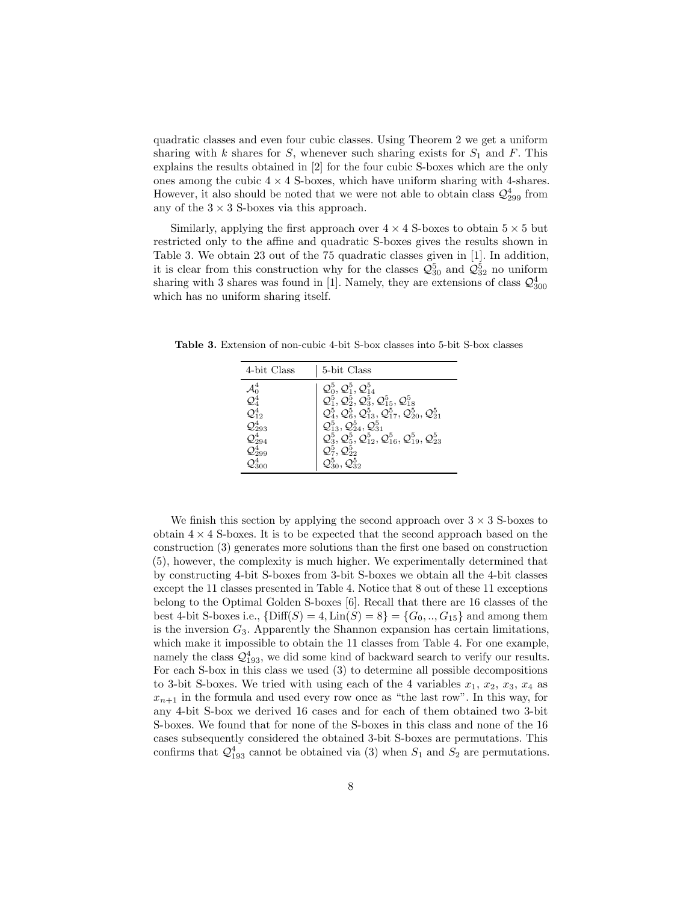quadratic classes and even four cubic classes. Using Theorem 2 we get a uniform sharing with k shares for  $S$ , whenever such sharing exists for  $S_1$  and  $F$ . This explains the results obtained in [2] for the four cubic S-boxes which are the only ones among the cubic  $4 \times 4$  S-boxes, which have uniform sharing with 4-shares. However, it also should be noted that we were not able to obtain class  $\mathcal{Q}^4_{299}$  from any of the  $3 \times 3$  S-boxes via this approach.

Similarly, applying the first approach over  $4 \times 4$  S-boxes to obtain  $5 \times 5$  but restricted only to the affine and quadratic S-boxes gives the results shown in Table 3. We obtain 23 out of the 75 quadratic classes given in [1]. In addition, it is clear from this construction why for the classes  $\mathcal{Q}_{30}^{5}$  and  $\mathcal{Q}_{32}^{5}$  no uniform sharing with 3 shares was found in [1]. Namely, they are extensions of class  $\mathcal{Q}_{300}^4$ which has no uniform sharing itself.

Table 3. Extension of non-cubic 4-bit S-box classes into 5-bit S-box classes

| 4-bit Class                         | 5-bit Class                                                                                                                       |
|-------------------------------------|-----------------------------------------------------------------------------------------------------------------------------------|
|                                     | $\mathcal{Q}_0^5, \mathcal{Q}_1^5, \mathcal{Q}_{14}^5$                                                                            |
| $\mathcal{A}^4_0 \ \mathcal{Q}^4_4$ | $\mathcal{Q}_1^5, \mathcal{Q}_2^5, \mathcal{Q}_3^5, \mathcal{Q}_{15}^5, \mathcal{Q}_{18}^5$                                       |
| $\mathcal{Q}_{12}^4$                | $\mathcal{Q}_4^5$ , $\mathcal{Q}_6^5$ , $\mathcal{Q}_{13}^5$ , $\mathcal{Q}_{17}^5$ , $\mathcal{Q}_{20}^5$ , $\mathcal{Q}_{21}^5$ |
| ${\cal Q}^4_{293}$                  | $\mathcal{Q}_{13}^5, \mathcal{Q}_{24}^5, \mathcal{Q}_{31}^5$                                                                      |
| $\mathcal{Q}_{294}^4$               | $\mathcal{Q}_3^5$ , $\mathcal{Q}_5^5$ , $\mathcal{Q}_{12}^5$ , $\mathcal{Q}_{16}^5$ , $\mathcal{Q}_{19}^5$ , $\mathcal{Q}_{23}^5$ |
| $\mathcal{Q}^4_{299}$               | $\mathcal{Q}_7^5, \mathcal{Q}_{22}^5$                                                                                             |
| $\mathcal{O}^4_{300}$               | $\mathcal{Q}_{30}^{5}, \mathcal{Q}_{32}^{5}$                                                                                      |

We finish this section by applying the second approach over  $3 \times 3$  S-boxes to obtain  $4 \times 4$  S-boxes. It is to be expected that the second approach based on the construction (3) generates more solutions than the first one based on construction (5), however, the complexity is much higher. We experimentally determined that by constructing 4-bit S-boxes from 3-bit S-boxes we obtain all the 4-bit classes except the 11 classes presented in Table 4. Notice that 8 out of these 11 exceptions belong to the Optimal Golden S-boxes [6]. Recall that there are 16 classes of the best 4-bit S-boxes i.e.,  $\{Diff(S) = 4, Lin(S) = 8\} = \{G_0, ..., G_{15}\}\$ and among them is the inversion  $G_3$ . Apparently the Shannon expansion has certain limitations, which make it impossible to obtain the 11 classes from Table 4. For one example, namely the class  $\mathcal{Q}_{193}^4$ , we did some kind of backward search to verify our results. For each S-box in this class we used (3) to determine all possible decompositions to 3-bit S-boxes. We tried with using each of the 4 variables  $x_1, x_2, x_3, x_4$  as  $x_{n+1}$  in the formula and used every row once as "the last row". In this way, for any 4-bit S-box we derived 16 cases and for each of them obtained two 3-bit S-boxes. We found that for none of the S-boxes in this class and none of the 16 cases subsequently considered the obtained 3-bit S-boxes are permutations. This confirms that  $\mathcal{Q}_{193}^4$  cannot be obtained via (3) when  $S_1$  and  $S_2$  are permutations.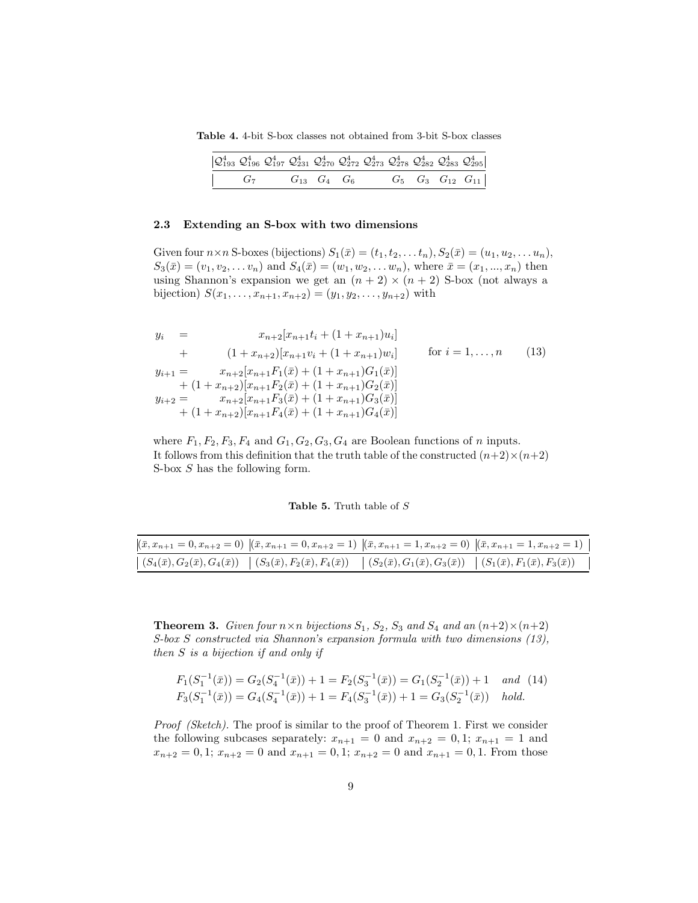Table 4. 4-bit S-box classes not obtained from 3-bit S-box classes

| $\left \mathcal{Q}_{193}^4\right \mathcal{Q}_{196}^4\ \mathcal{Q}_{197}^4\ \mathcal{Q}_{231}^4\ \mathcal{Q}_{270}^4\ \mathcal{Q}_{272}^4\ \mathcal{Q}_{273}^4\ \mathcal{Q}_{278}^4\ \mathcal{Q}_{282}^4\ \mathcal{Q}_{283}^4\ \mathcal{Q}_{295}^4\right $ |  |  |  |  |  |
|-----------------------------------------------------------------------------------------------------------------------------------------------------------------------------------------------------------------------------------------------------------|--|--|--|--|--|
| $\begin{vmatrix} G_7 & G_{13} & G_4 & G_6 & G_5 & G_3 & G_{12} & G_{11} \end{vmatrix}$                                                                                                                                                                    |  |  |  |  |  |

#### 2.3 Extending an S-box with two dimensions

Given four  $n \times n$  S-boxes (bijections)  $S_1(\bar{x}) = (t_1, t_2, \ldots t_n), S_2(\bar{x}) = (u_1, u_2, \ldots u_n),$  $S_3(\bar{x}) = (v_1, v_2, \dots v_n)$  and  $S_4(\bar{x}) = (w_1, w_2, \dots w_n)$ , where  $\bar{x} = (x_1, \dots, x_n)$  then using Shannon's expansion we get an  $(n + 2) \times (n + 2)$  S-box (not always a bijection)  $S(x_1, \ldots, x_{n+1}, x_{n+2}) = (y_1, y_2, \ldots, y_{n+2})$  with

$$
y_{i} = x_{n+2}[x_{n+1}t_{i} + (1 + x_{n+1})u_{i}]
$$
  
+ 
$$
(1 + x_{n+2})[x_{n+1}v_{i} + (1 + x_{n+1})w_{i}]
$$
 for  $i = 1,...,n$  (13)  

$$
y_{i+1} = x_{n+2}[x_{n+1}F_{1}(\bar{x}) + (1 + x_{n+1})G_{1}(\bar{x})]
$$

$$
+ (1 + x_{n+2})[x_{n+1}F_{2}(\bar{x}) + (1 + x_{n+1})G_{2}(\bar{x})]
$$

$$
y_{i+2} = x_{n+2}[x_{n+1}F_{3}(\bar{x}) + (1 + x_{n+1})G_{3}(\bar{x})]
$$

$$
+ (1 + x_{n+2})[x_{n+1}F_{4}(\bar{x}) + (1 + x_{n+1})G_{4}(\bar{x})]
$$

where  $F_1, F_2, F_3, F_4$  and  $G_1, G_2, G_3, G_4$  are Boolean functions of n inputs. It follows from this definition that the truth table of the constructed  $(n+2) \times (n+2)$ S-box S has the following form.

Table 5. Truth table of  $S$ 

|                                                                                                                                                                                                   | $[(\bar{x}, x_{n+1} = 0, x_{n+2} = 0) \  (\bar{x}, x_{n+1} = 0, x_{n+2} = 1) \  (\bar{x}, x_{n+1} = 1, x_{n+2} = 0) \  (\bar{x}, x_{n+1} = 1, x_{n+2} = 1)$ |
|---------------------------------------------------------------------------------------------------------------------------------------------------------------------------------------------------|-------------------------------------------------------------------------------------------------------------------------------------------------------------|
| $\mid (S_4(\bar{x}), G_2(\bar{x}), G_4(\bar{x})) \mid (S_3(\bar{x}), F_2(\bar{x}), F_4(\bar{x})) \mid (S_2(\bar{x}), G_1(\bar{x}), G_3(\bar{x})) \mid (S_1(\bar{x}), F_1(\bar{x}), F_3(\bar{x}))$ |                                                                                                                                                             |

**Theorem 3.** Given four  $n \times n$  bijections  $S_1$ ,  $S_2$ ,  $S_3$  and  $S_4$  and an  $(n+2) \times (n+2)$ S-box S constructed via Shannon's expansion formula with two dimensions (13), then S is a bijection if and only if

$$
F_1(S_1^{-1}(\bar{x})) = G_2(S_4^{-1}(\bar{x})) + 1 = F_2(S_3^{-1}(\bar{x})) = G_1(S_2^{-1}(\bar{x})) + 1 \text{ and } (14)
$$
  
\n
$$
F_3(S_1^{-1}(\bar{x})) = G_4(S_4^{-1}(\bar{x})) + 1 = F_4(S_3^{-1}(\bar{x})) + 1 = G_3(S_2^{-1}(\bar{x})) \text{ hold.}
$$

Proof (Sketch). The proof is similar to the proof of Theorem 1. First we consider the following subcases separately:  $x_{n+1} = 0$  and  $x_{n+2} = 0, 1; x_{n+1} = 1$  and  $x_{n+2} = 0, 1; x_{n+2} = 0$  and  $x_{n+1} = 0, 1; x_{n+2} = 0$  and  $x_{n+1} = 0, 1$ . From those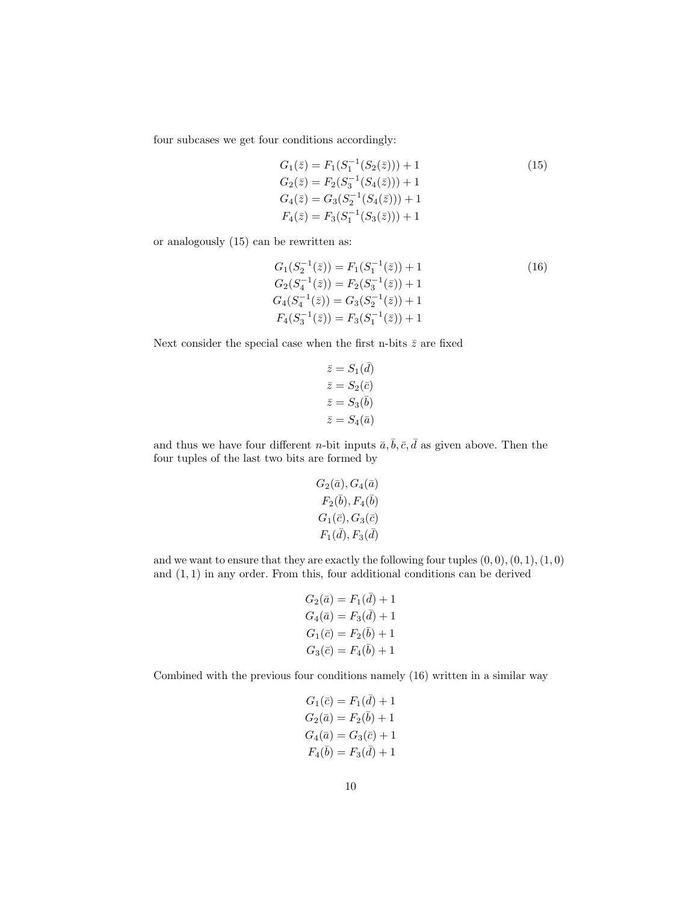four subcases we get four conditions accordingly:

$$
G_1(\bar{z}) = F_1(S_1^{-1}(S_2(\bar{z}))) + 1
$$
  
\n
$$
G_2(\bar{z}) = F_2(S_3^{-1}(S_4(\bar{z}))) + 1
$$
  
\n
$$
G_4(\bar{z}) = G_3(S_2^{-1}(S_4(\bar{z}))) + 1
$$
  
\n
$$
F_4(\bar{z}) = F_3(S_1^{-1}(S_3(\bar{z}))) + 1
$$
\n(15)

or analogously (15) can be rewritten as:

$$
G_1(S_2^{-1}(\bar{z})) = F_1(S_1^{-1}(\bar{z})) + 1
$$
  
\n
$$
G_2(S_4^{-1}(\bar{z})) = F_2(S_3^{-1}(\bar{z})) + 1
$$
  
\n
$$
G_4(S_4^{-1}(\bar{z})) = G_3(S_2^{-1}(\bar{z})) + 1
$$
  
\n
$$
F_4(S_3^{-1}(\bar{z})) = F_3(S_1^{-1}(\bar{z})) + 1
$$
\n(16)

Next consider the special case when the first n-bits  $\bar{z}$  are fixed

$$
\bar{z} = S_1(\bar{d})
$$

$$
\bar{z} = S_2(\bar{c})
$$

$$
\bar{z} = S_3(\bar{b})
$$

$$
\bar{z} = S_4(\bar{a})
$$

and thus we have four different *n*-bit inputs  $\bar{a}, \bar{b}, \bar{c}, \bar{d}$  as given above. Then the four tuples of the last two bits are formed by

$$
G_2(\bar{a}), G_4(\bar{a})\\ F_2(\bar{b}), F_4(\bar{b})\\ G_1(\bar{c}), G_3(\bar{c})\\ F_1(\bar{d}), F_3(\bar{d})
$$

and we want to ensure that they are exactly the following four tuples  $(0, 0), (0, 1), (1, 0)$ and  $(1, 1)$  in any order. From this, four additional conditions can be derived

$$
G_2(\bar{a}) = F_1(\bar{d}) + 1
$$
  
\n
$$
G_4(\bar{a}) = F_3(\bar{d}) + 1
$$
  
\n
$$
G_1(\bar{c}) = F_2(\bar{b}) + 1
$$
  
\n
$$
G_3(\bar{c}) = F_4(\bar{b}) + 1
$$

Combined with the previous four conditions namely (16) written in a similar way

$$
G_1(\bar{c}) = F_1(\bar{d}) + 1
$$
  
\n
$$
G_2(\bar{a}) = F_2(\bar{b}) + 1
$$
  
\n
$$
G_4(\bar{a}) = G_3(\bar{c}) + 1
$$
  
\n
$$
F_4(\bar{b}) = F_3(\bar{d}) + 1
$$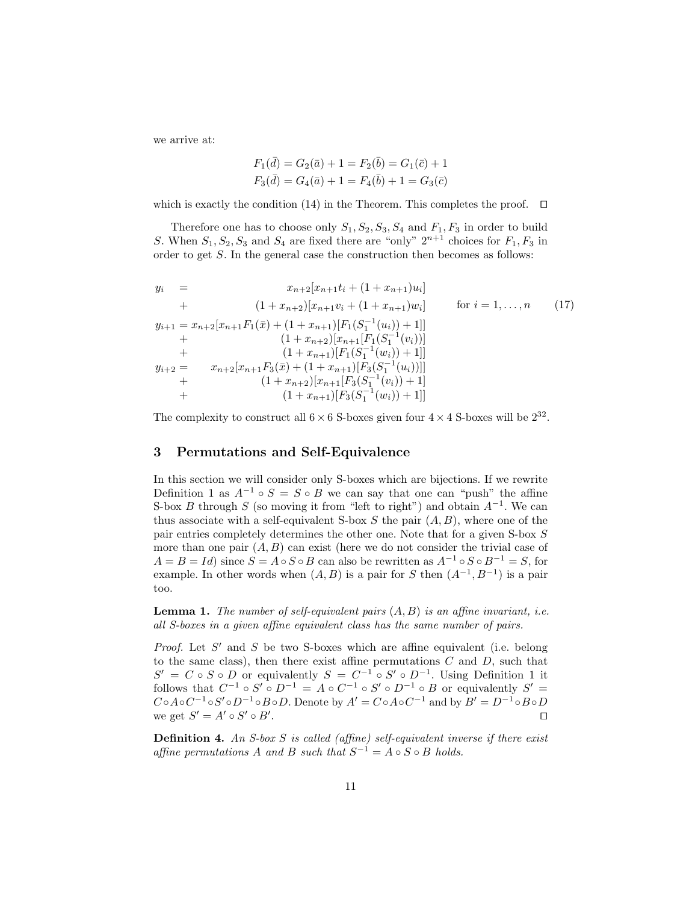we arrive at:

$$
F_1(\bar{d}) = G_2(\bar{a}) + 1 = F_2(\bar{b}) = G_1(\bar{c}) + 1
$$
  

$$
F_3(\bar{d}) = G_4(\bar{a}) + 1 = F_4(\bar{b}) + 1 = G_3(\bar{c})
$$

which is exactly the condition (14) in the Theorem. This completes the proof.  $\Box$ 

Therefore one has to choose only  $S_1, S_2, S_3, S_4$  and  $F_1, F_3$  in order to build S. When  $S_1, S_2, S_3$  and  $S_4$  are fixed there are "only"  $2^{n+1}$  choices for  $F_1, F_3$  in order to get  $S$ . In the general case the construction then becomes as follows:

$$
y_{i} = x_{n+2}[x_{n+1}t_{i} + (1 + x_{n+1})u_{i}]
$$
  
+ 
$$
(1 + x_{n+2})[x_{n+1}v_{i} + (1 + x_{n+1})w_{i}]
$$
 for  $i = 1,...,n$  (17)  

$$
y_{i+1} = x_{n+2}[x_{n+1}F_{1}(\bar{x}) + (1 + x_{n+1})[F_{1}(S_{1}^{-1}(u_{i})) + 1]]
$$
  
+ 
$$
(1 + x_{n+2})[x_{n+1}[F_{1}(S_{1}^{-1}(v_{i}))]
$$
  
+ 
$$
(1 + x_{n+1})[F_{1}(S_{1}^{-1}(w_{i})) + 1]]
$$
  
+ 
$$
y_{i+2} = x_{n+2}[x_{n+1}F_{3}(\bar{x}) + (1 + x_{n+1})[F_{3}(S_{1}^{-1}(u_{i}))]]
$$
  
+ 
$$
(1 + x_{n+2})[x_{n+1}[F_{3}(S_{1}^{-1}(v_{i})) + 1]]
$$
  
+ 
$$
(1 + x_{n+1})[F_{3}(S_{1}^{-1}(w_{i})) + 1]]
$$

The complexity to construct all  $6 \times 6$  S-boxes given four  $4 \times 4$  S-boxes will be  $2^{32}$ .

## 3 Permutations and Self-Equivalence

In this section we will consider only S-boxes which are bijections. If we rewrite Definition 1 as  $A^{-1} \circ S = S \circ B$  we can say that one can "push" the affine S-box B through S (so moving it from "left to right") and obtain  $A^{-1}$ . We can thus associate with a self-equivalent S-box S the pair  $(A, B)$ , where one of the pair entries completely determines the other one. Note that for a given S-box S more than one pair  $(A, B)$  can exist (here we do not consider the trivial case of  $A = B = Id$  since  $S = A \circ S \circ B$  can also be rewritten as  $A^{-1} \circ S \circ B^{-1} = S$ , for example. In other words when  $(A, B)$  is a pair for S then  $(A^{-1}, B^{-1})$  is a pair too.

**Lemma 1.** The number of self-equivalent pairs  $(A, B)$  is an affine invariant, i.e. all S-boxes in a given affine equivalent class has the same number of pairs.

Proof. Let  $S'$  and  $S$  be two S-boxes which are affine equivalent (i.e. belong to the same class), then there exist affine permutations  $C$  and  $D$ , such that  $S' = C \circ S \circ D$  or equivalently  $S = C^{-1} \circ S' \circ D^{-1}$ . Using Definition 1 it follows that  $C^{-1} \circ S' \circ D^{-1} = A \circ C^{-1} \circ S' \circ D^{-1} \circ B$  or equivalently  $S' =$  $C \circ A \circ C^{-1} \circ S' \circ D^{-1} \circ B \circ D$ . Denote by  $A' = C \circ A \circ C^{-1}$  and by  $B' = D^{-1} \circ B \circ D$ we get  $S' = A' \circ S' \circ B'$ . The contract of the contract of the contract of the contract of the contract of the contract of the contract of the contract of the contract of the contract of the contract of the contract of the contract of the contract

**Definition 4.** An S-box S is called (affine) self-equivalent inverse if there exist affine permutations A and B such that  $S^{-1} = A \circ S \circ B$  holds.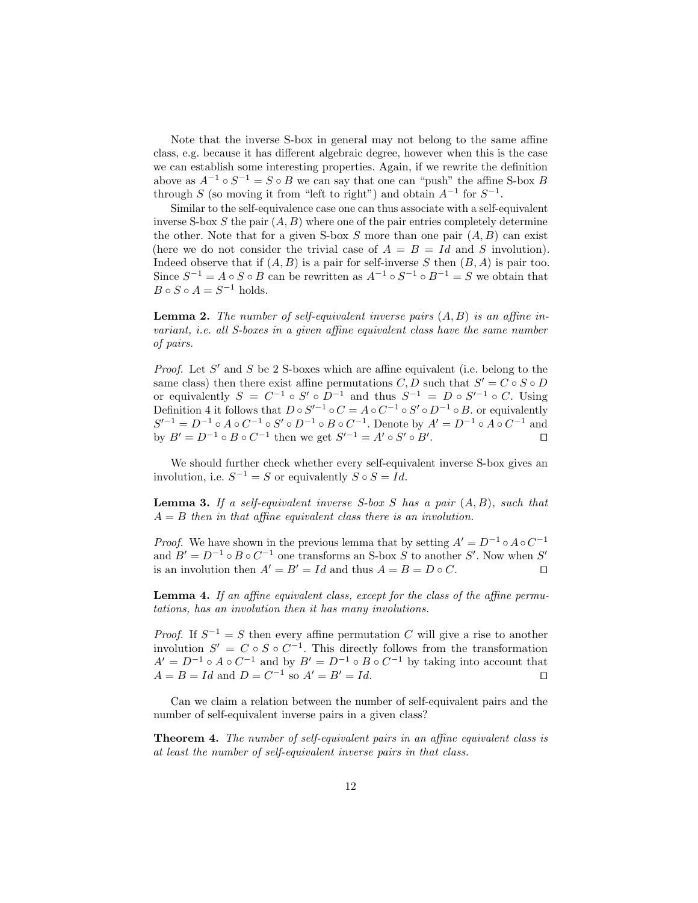Note that the inverse S-box in general may not belong to the same affine class, e.g. because it has different algebraic degree, however when this is the case we can establish some interesting properties. Again, if we rewrite the definition above as  $A^{-1} \circ S^{-1} = S \circ B$  we can say that one can "push" the affine S-box B through S (so moving it from "left to right") and obtain  $A^{-1}$  for  $S^{-1}$ .

Similar to the self-equivalence case one can thus associate with a self-equivalent inverse S-box S the pair  $(A, B)$  where one of the pair entries completely determine the other. Note that for a given S-box  $S$  more than one pair  $(A, B)$  can exist (here we do not consider the trivial case of  $A = B = Id$  and S involution). Indeed observe that if  $(A, B)$  is a pair for self-inverse S then  $(B, A)$  is pair too. Since  $S^{-1} = A \circ S \circ B$  can be rewritten as  $A^{-1} \circ S^{-1} \circ B^{-1} = S$  we obtain that  $B \circ S \circ A = S^{-1}$  holds.

**Lemma 2.** The number of self-equivalent inverse pairs  $(A, B)$  is an affine invariant, i.e. all S-boxes in a given affine equivalent class have the same number of pairs.

*Proof.* Let  $S'$  and  $S$  be 2 S-boxes which are affine equivalent (i.e. belong to the same class) then there exist affine permutations  $C, D$  such that  $S' = C \circ S \circ D$ or equivalently  $S = C^{-1} \circ S' \circ D^{-1}$  and thus  $S^{-1} = D \circ S'^{-1} \circ C$ . Using Definition 4 it follows that  $D \circ S'^{-1} \circ C = A \circ C^{-1} \circ S' \circ D^{-1} \circ B$ . or equivalently  $S'^{-1} = D^{-1} \circ A \circ C^{-1} \circ S' \circ D^{-1} \circ B \circ C^{-1}$ . Denote by  $A' = D^{-1} \circ A \circ C^{-1}$  and by  $B' = D^{-1} \circ B \circ C^{-1}$  then we get  $S'^{-1} = A' \circ S' \circ B'$ . The contract of  $\Box$ 

We should further check whether every self-equivalent inverse S-box gives an involution, i.e.  $S^{-1} = S$  or equivalently  $S \circ S = Id$ .

**Lemma 3.** If a self-equivalent inverse S-box S has a pair  $(A, B)$ , such that  $A = B$  then in that affine equivalent class there is an involution.

*Proof.* We have shown in the previous lemma that by setting  $A' = D^{-1} \circ A \circ C^{-1}$ and  $B' = D^{-1} \circ B \circ C^{-1}$  one transforms an S-box S to another S'. Now when S' is an involution then  $A' = B' = Id$  and thus  $A = B = D \circ C$ .

Lemma 4. If an affine equivalent class, except for the class of the affine permutations, has an involution then it has many involutions.

*Proof.* If  $S^{-1} = S$  then every affine permutation C will give a rise to another involution  $S' = C \circ S \circ C^{-1}$ . This directly follows from the transformation  $A' = D^{-1} \circ A \circ C^{-1}$  and by  $B' = D^{-1} \circ B \circ C^{-1}$  by taking into account that  $A = B = Id$  and  $D = C^{-1}$  so  $A' = B' = Id$ .

Can we claim a relation between the number of self-equivalent pairs and the number of self-equivalent inverse pairs in a given class?

Theorem 4. The number of self-equivalent pairs in an affine equivalent class is at least the number of self-equivalent inverse pairs in that class.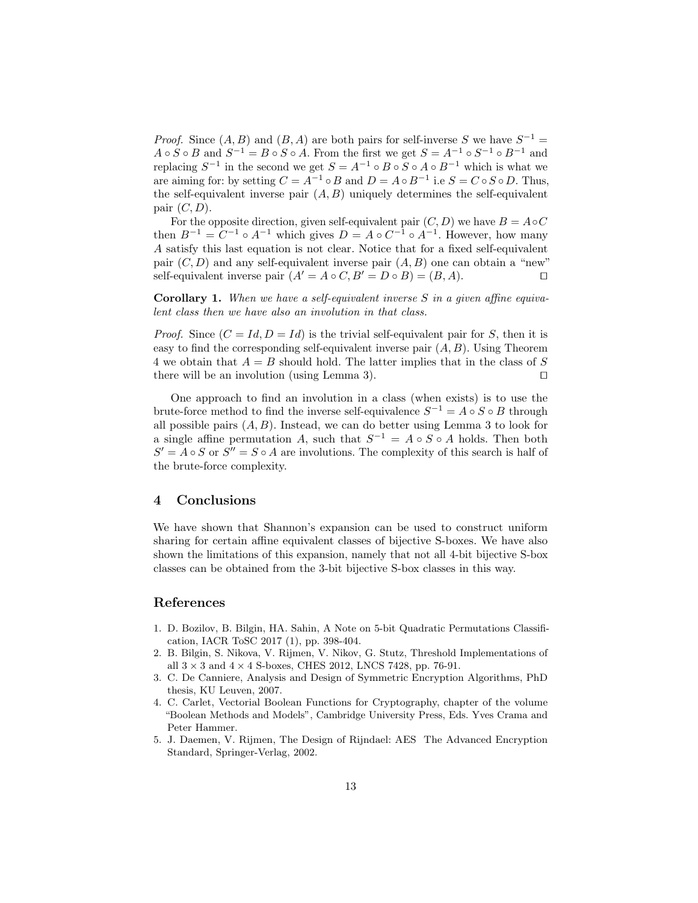*Proof.* Since  $(A, B)$  and  $(B, A)$  are both pairs for self-inverse S we have  $S^{-1}$  =  $A \circ S \circ B$  and  $S^{-1} = B \circ S \circ A$ . From the first we get  $S = A^{-1} \circ S^{-1} \circ B^{-1}$  and replacing  $S^{-1}$  in the second we get  $S = A^{-1} \circ B \circ S \circ A \circ B^{-1}$  which is what we are aiming for: by setting  $C = A^{-1} \circ B$  and  $D = A \circ B^{-1}$  i.e  $S = C \circ S \circ D$ . Thus, the self-equivalent inverse pair  $(A, B)$  uniquely determines the self-equivalent pair  $(C, D)$ .

For the opposite direction, given self-equivalent pair  $(C, D)$  we have  $B = A \circ C$ then  $B^{-1} = C^{-1} \circ A^{-1}$  which gives  $D = A \circ C^{-1} \circ A^{-1}$ . However, how many A satisfy this last equation is not clear. Notice that for a fixed self-equivalent pair  $(C, D)$  and any self-equivalent inverse pair  $(A, B)$  one can obtain a "new" self-equivalent inverse pair  $(A' = A \circ C, B' = D \circ B) = (B, A)$ .

Corollary 1. When we have a self-equivalent inverse S in a given affine equivalent class then we have also an involution in that class.

*Proof.* Since  $(C = Id, D = Id)$  is the trivial self-equivalent pair for S, then it is easy to find the corresponding self-equivalent inverse pair  $(A, B)$ . Using Theorem 4 we obtain that  $A = B$  should hold. The latter implies that in the class of S there will be an involution (using Lemma 3).  $\square$ 

One approach to find an involution in a class (when exists) is to use the brute-force method to find the inverse self-equivalence  $S^{-1} = A \circ S \circ B$  through all possible pairs  $(A, B)$ . Instead, we can do better using Lemma 3 to look for a single affine permutation A, such that  $S^{-1} = A \circ S \circ A$  holds. Then both  $S' = A \circ S$  or  $S'' = S \circ A$  are involutions. The complexity of this search is half of the brute-force complexity.

## 4 Conclusions

We have shown that Shannon's expansion can be used to construct uniform sharing for certain affine equivalent classes of bijective S-boxes. We have also shown the limitations of this expansion, namely that not all 4-bit bijective S-box classes can be obtained from the 3-bit bijective S-box classes in this way.

### References

- 1. D. Bozilov, B. Bilgin, HA. Sahin, A Note on 5-bit Quadratic Permutations Classification, IACR ToSC 2017 (1), pp. 398-404.
- 2. B. Bilgin, S. Nikova, V. Rijmen, V. Nikov, G. Stutz, Threshold Implementations of all  $3 \times 3$  and  $4 \times 4$  S-boxes, CHES 2012, LNCS 7428, pp. 76-91.
- 3. C. De Canniere, Analysis and Design of Symmetric Encryption Algorithms, PhD thesis, KU Leuven, 2007.
- 4. C. Carlet, Vectorial Boolean Functions for Cryptography, chapter of the volume "Boolean Methods and Models", Cambridge University Press, Eds. Yves Crama and Peter Hammer.
- 5. J. Daemen, V. Rijmen, The Design of Rijndael: AES The Advanced Encryption Standard, Springer-Verlag, 2002.